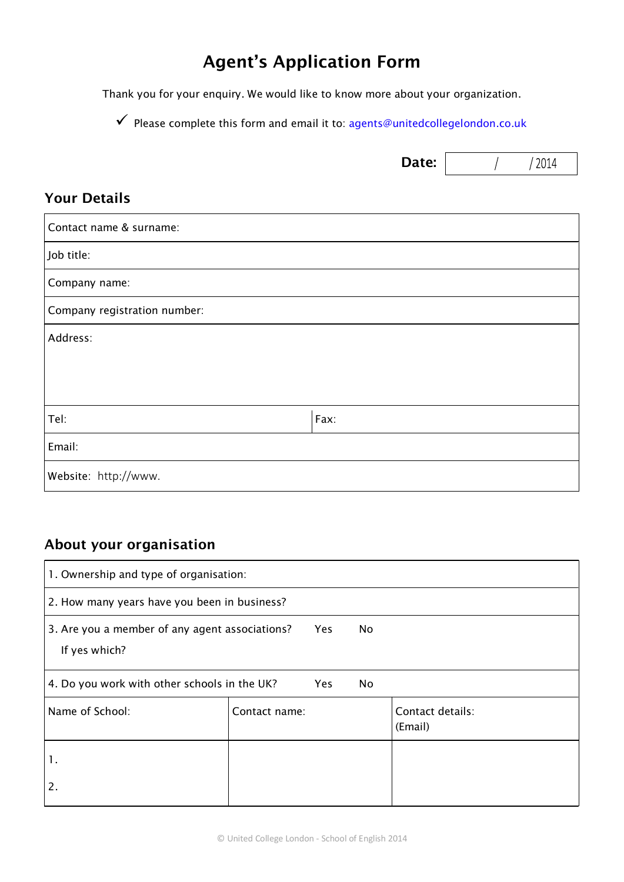# **Agent's Application Form**

Thank you for your enquiry. We would like to know more about your organization.

 $\checkmark$  Please complete this form and email it to: agents@unitedcollegelondon.co.uk

#### **Your Details**

| Contact name & surname:      |      |  |
|------------------------------|------|--|
| Job title:                   |      |  |
| Company name:                |      |  |
| Company registration number: |      |  |
| Address:                     |      |  |
|                              |      |  |
|                              |      |  |
| Tel:                         | Fax: |  |
| Email:                       |      |  |
| Website: http://www.         |      |  |

### **About your organisation**

| 1. Ownership and type of organisation:                                              |               |  |  |                             |  |
|-------------------------------------------------------------------------------------|---------------|--|--|-----------------------------|--|
| 2. How many years have you been in business?                                        |               |  |  |                             |  |
| 3. Are you a member of any agent associations?<br>No<br><b>Yes</b><br>If yes which? |               |  |  |                             |  |
| 4. Do you work with other schools in the UK?<br>Yes<br>No                           |               |  |  |                             |  |
| Name of School:                                                                     | Contact name: |  |  | Contact details:<br>(Email) |  |
| 1.                                                                                  |               |  |  |                             |  |
| 2.                                                                                  |               |  |  |                             |  |